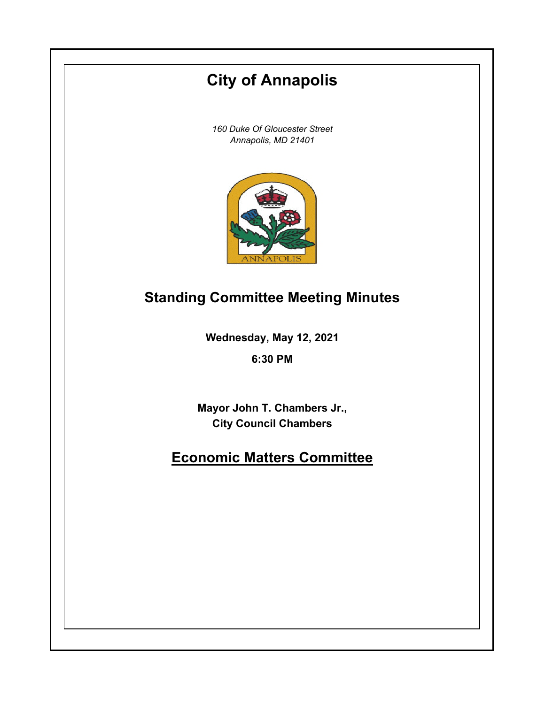# **City of Annapolis**

*160 Duke Of Gloucester Street Annapolis, MD 21401*



# **Standing Committee Meeting Minutes**

**Wednesday, May 12, 2021**

**6:30 PM**

**Mayor John T. Chambers Jr., City Council Chambers**

# **Economic Matters Committee**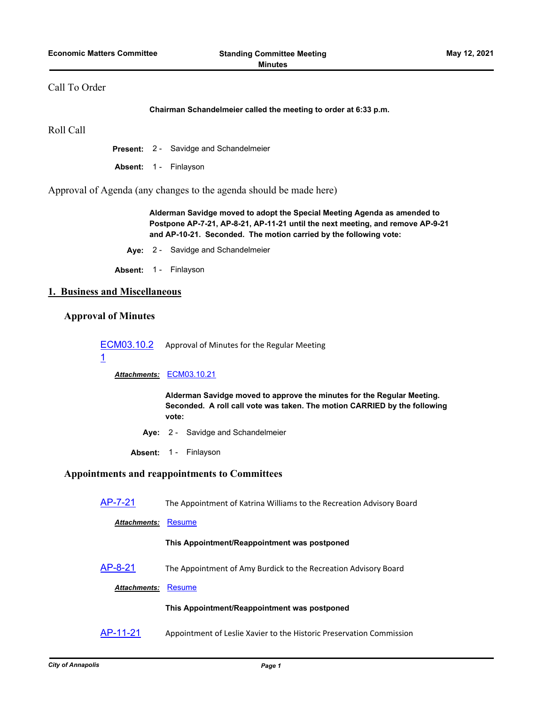## Call To Order

**Chairman Schandelmeier called the meeting to order at 6:33 p.m.**

Roll Call

**Present:** 2 - Savidge and Schandelmeier

Absent: 1 - Finlayson

Approval of Agenda (any changes to the agenda should be made here)

**Alderman Savidge moved to adopt the Special Meeting Agenda as amended to Postpone AP-7-21, AP-8-21, AP-11-21 until the next meeting, and remove AP-9-21 and AP-10-21. Seconded. The motion carried by the following vote:**

**Aye:** 2 - Savidge and Schandelmeier

Absent: 1 - Finlayson

# **1. Business and Miscellaneous**

## **Approval of Minutes**

[ECM03.10.2](http://annapolismd.legistar.com/gateway.aspx?m=l&id=/matter.aspx?key=5214) Approval of Minutes for the Regular Meeting

## 1

*Attachments:* [ECM03.10.21](http://annapolismd.legistar.com/gateway.aspx?M=F&ID=c0dd4c6f-f580-41f0-a806-1cc96d0cbdb5.pdf)

**Alderman Savidge moved to approve the minutes for the Regular Meeting. Seconded. A roll call vote was taken. The motion CARRIED by the following vote:**

- **Aye:** 2 Savidge and Schandelmeier
- **Absent:** 1 Finlayson

## **Appointments and reappointments to Committees**

[AP-7-21](http://annapolismd.legistar.com/gateway.aspx?m=l&id=/matter.aspx?key=5210) The Appointment of Katrina Williams to the Recreation Advisory Board

*Attachments:* [Resume](http://annapolismd.legistar.com/gateway.aspx?M=F&ID=9ff9a7a5-0c3c-449a-b5fa-7b444285773a.pdf)

#### **This Appointment/Reappointment was postponed**

[AP-8-21](http://annapolismd.legistar.com/gateway.aspx?m=l&id=/matter.aspx?key=5211) The Appointment of Amy Burdick to the Recreation Advisory Board

*Attachments:* [Resume](http://annapolismd.legistar.com/gateway.aspx?M=F&ID=95848baf-063a-448c-8b03-17b15447f0b4.pdf)

#### **This Appointment/Reappointment was postponed**

[AP-11-21](http://annapolismd.legistar.com/gateway.aspx?m=l&id=/matter.aspx?key=5287) Appointment of Leslie Xavier to the Historic Preservation Commission